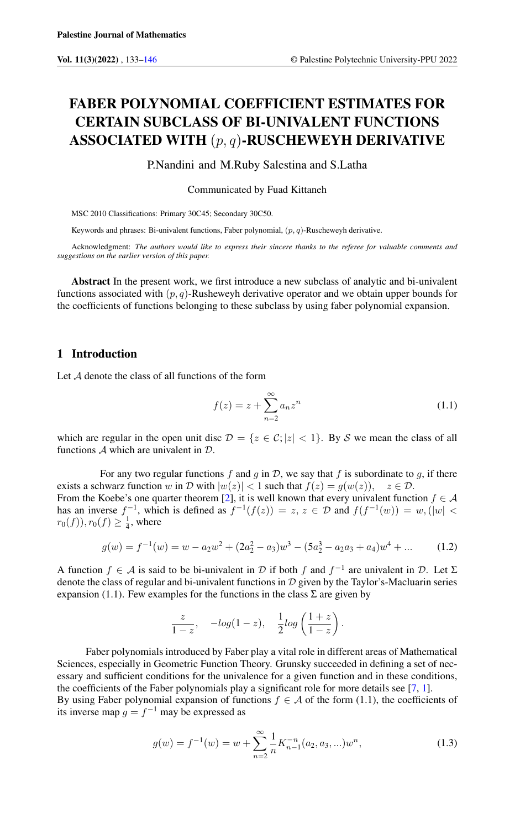# FABER POLYNOMIAL COEFFICIENT ESTIMATES FOR CERTAIN SUBCLASS OF BI-UNIVALENT FUNCTIONS ASSOCIATED WITH  $(p, q)$ -RUSCHEWEYH DERIVATIVE

P.Nandini and M.Ruby Salestina and S.Latha

Communicated by Fuad Kittaneh

MSC 2010 Classifications: Primary 30C45; Secondary 30C50.

Keywords and phrases: Bi-univalent functions, Faber polynomial,  $(p, q)$ -Ruscheweyh derivative.

Acknowledgment: *The authors would like to express their sincere thanks to the referee for valuable comments and suggestions on the earlier version of this paper.*

Abstract In the present work, we first introduce a new subclass of analytic and bi-univalent functions associated with  $(p, q)$ -Rusheweyh derivative operator and we obtain upper bounds for the coefficients of functions belonging to these subclass by using faber polynomial expansion.

### 1 Introduction

Let A denote the class of all functions of the form

$$
f(z) = z + \sum_{n=2}^{\infty} a_n z^n
$$
\n(1.1)

which are regular in the open unit disc  $\mathcal{D} = \{z \in \mathcal{C}; |z| < 1\}$ . By S we mean the class of all functions A which are univalent in D.

For any two regular functions  $f$  and  $g$  in  $D$ , we say that  $f$  is subordinate to  $g$ , if there exists a schwarz function w in D with  $|w(z)| < 1$  such that  $f(z) = g(w(z))$ ,  $z \in \mathcal{D}$ . From the Koebe's one quarter theorem [\[2\]](#page-13-1), it is well known that every univalent function  $f \in \mathcal{A}$ has an inverse  $f^{-1}$ , which is defined as  $f^{-1}(f(z)) = z, z \in \mathcal{D}$  and  $f(f^{-1}(w)) = w, ||w|| <$  $r_0(f)$ ),  $r_0(f) \ge \frac{1}{4}$ , where

$$
g(w) = f^{-1}(w) = w - a_2w^2 + (2a_2^2 - a_3)w^3 - (5a_2^3 - a_2a_3 + a_4)w^4 + \dots
$$
 (1.2)

A function  $f \in A$  is said to be bi-univalent in  $D$  if both f and  $f^{-1}$  are univalent in  $D$ . Let  $\Sigma$ denote the class of regular and bi-univalent functions in  $D$  given by the Taylor's-Macluarin series expansion (1.1). Few examples for the functions in the class  $\Sigma$  are given by

$$
\frac{z}{1-z}, \quad -log(1-z), \quad \frac{1}{2}log\left(\frac{1+z}{1-z}\right).
$$

Faber polynomials introduced by Faber play a vital role in different areas of Mathematical Sciences, especially in Geometric Function Theory. Grunsky succeeded in defining a set of necessary and sufficient conditions for the univalence for a given function and in these conditions, the coefficients of the Faber polynomials play a significant role for more details see [\[7,](#page-13-2) [1\]](#page-13-3).

By using Faber polynomial expansion of functions  $f \in A$  of the form (1.1), the coefficients of its inverse map  $g = f^{-1}$  may be expressed as

$$
g(w) = f^{-1}(w) = w + \sum_{n=2}^{\infty} \frac{1}{n} K_{n-1}^{-n}(a_2, a_3, ...)w^n,
$$
\n(1.3)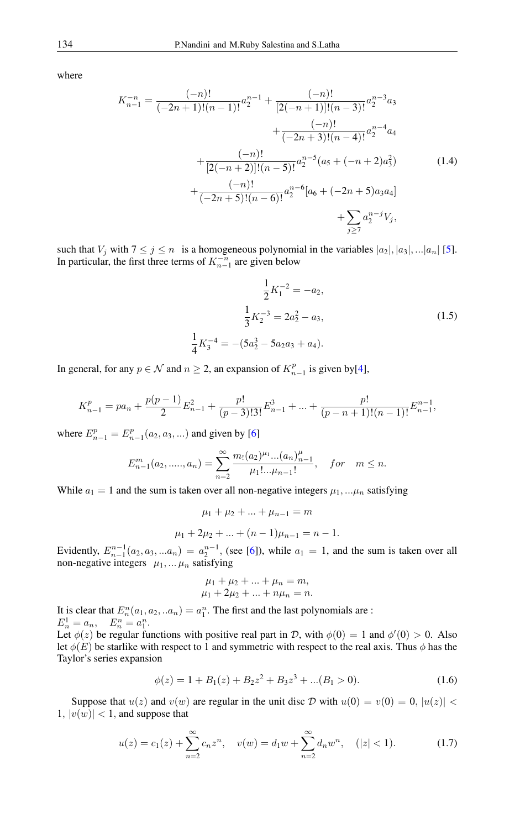where

$$
K_{n-1}^{-n} = \frac{(-n)!}{(-2n+1)!(n-1)!}a_2^{n-1} + \frac{(-n)!}{[2(-n+1)]!(n-3)!}a_2^{n-3}a_3 + \frac{(-n)!}{(-2n+3)!(n-4)!}a_2^{n-4}a_4 + \frac{(-n)!}{[2(-n+2)]!(n-5)!}a_2^{n-5}(a_5 + (-n+2)a_3^2) + \frac{(-n)!}{(-2n+5)!(n-6)!}a_2^{n-6}[a_6 + (-2n+5)a_3a_4] + \sum_{j\geq 7}a_2^{n-j}V_j,
$$
\n(1.4)

such that  $V_j$  with  $7 \le j \le n$  is a homogeneous polynomial in the variables  $|a_2|, |a_3|, ... |a_n|$  [\[5\]](#page-13-4). In particular, the first three terms of  $K_{n-1}^{-n}$  are given below

$$
\frac{1}{2}K_1^{-2} = -a_2,
$$
  

$$
\frac{1}{3}K_2^{-3} = 2a_2^2 - a_3,
$$
  

$$
\frac{1}{4}K_3^{-4} = -(5a_2^3 - 5a_2a_3 + a_4).
$$
 (1.5)

In general, for any  $p \in \mathcal{N}$  and  $n \ge 2$ , an expansion of  $K_{n-1}^p$  is given by[\[4\]](#page-13-5),

$$
K_{n-1}^p = pa_n + \frac{p(p-1)}{2}E_{n-1}^2 + \frac{p!}{(p-3)!3!}E_{n-1}^3 + \dots + \frac{p!}{(p-n+1)!(n-1)!}E_{n-1}^{n-1},
$$

where  $E_{n-1}^p = E_{n-1}^p(a_2, a_3, ...)$  and given by [\[6\]](#page-13-6)

$$
E_{n-1}^m(a_2, \dots, a_n) = \sum_{n=2}^{\infty} \frac{m_1(a_2)^{\mu_1} \dots (a_n)_{n-1}^{\mu_1}}{\mu_1! \dots \mu_{n-1}!}, \quad \text{for} \quad m \le n.
$$

While  $a_1 = 1$  and the sum is taken over all non-negative integers  $\mu_1, \ldots, \mu_n$  satisfying

$$
\mu_1 + \mu_2 + \dots + \mu_{n-1} = m
$$
  

$$
\mu_1 + 2\mu_2 + \dots + (n-1)\mu_{n-1} = n - 1.
$$

Evidently,  $E_{n-1}^{n-1}(a_2, a_3, ... a_n) = a_2^{n-1}$ , (see [\[6\]](#page-13-6)), while  $a_1 = 1$ , and the sum is taken over all non-negative integers  $\mu_1, \dots, \mu_n$  satisfying

$$
\mu_1 + \mu_2 + \dots + \mu_n = m, \n\mu_1 + 2\mu_2 + \dots + n\mu_n = n.
$$

It is clear that  $E_n^n(a_1, a_2, ... a_n) = a_1^n$ . The first and the last polynomials are :  $E_n^1 = a_n, \quad E_n^n = a_1^n.$ Let  $\phi(z)$  be regular functions with positive real part in D, with  $\phi(0) = 1$  and  $\phi'(0) > 0$ . Also let  $\phi(E)$  be starlike with respect to 1 and symmetric with respect to the real axis. Thus  $\phi$  has the Taylor's series expansion

$$
\phi(z) = 1 + B_1(z) + B_2 z^2 + B_3 z^3 + \dots (B_1 > 0). \tag{1.6}
$$

Suppose that  $u(z)$  and  $v(w)$  are regular in the unit disc D with  $u(0) = v(0) = 0$ ,  $|u(z)| <$  $|1, v(w)| < 1$ , and suppose that

$$
u(z) = c_1(z) + \sum_{n=2}^{\infty} c_n z^n, \quad v(w) = d_1 w + \sum_{n=2}^{\infty} d_n w^n, \quad (|z| < 1). \tag{1.7}
$$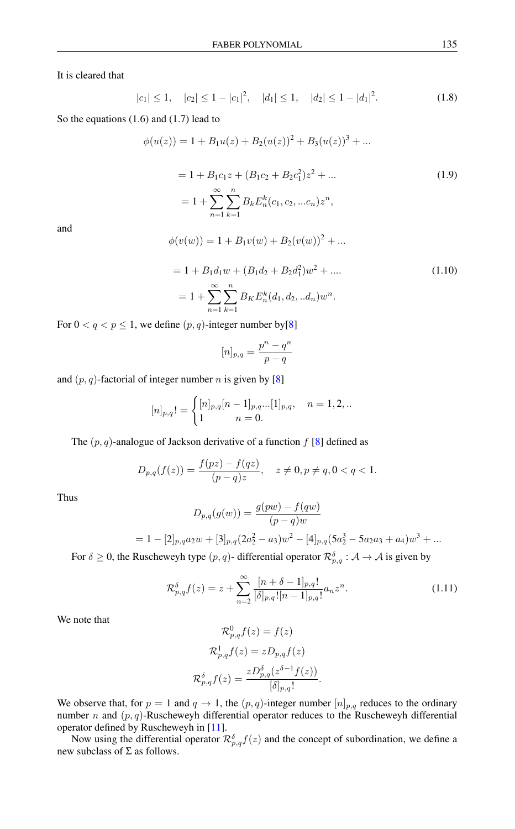It is cleared that

$$
|c_1| \le 1, \quad |c_2| \le 1 - |c_1|^2, \quad |d_1| \le 1, \quad |d_2| \le 1 - |d_1|^2. \tag{1.8}
$$

So the equations (1.6) and (1.7) lead to

$$
\phi(u(z)) = 1 + B_1 u(z) + B_2 (u(z))^2 + B_3 (u(z))^3 + \dots
$$
  

$$
= 1 + B_1 c_1 z + (B_1 c_2 + B_2 c_1^2) z^2 + \dots
$$
  

$$
= 1 + \sum_{n=1}^{\infty} \sum_{k=1}^n B_k E_n^k(c_1, c_2, \dots c_n) z^n,
$$
 (1.9)

and

$$
\phi(v(w)) = 1 + B_1v(w) + B_2(v(w))^2 + \dots
$$

$$
= 1 + B_1 d_1 w + (B_1 d_2 + B_2 d_1^2) w^2 + \dots
$$
  

$$
= 1 + \sum_{n=1}^{\infty} \sum_{k=1}^{n} B_K E_n^k(d_1, d_2, ... d_n) w^n.
$$
 (1.10)

For  $0 < q < p \le 1$ , we define  $(p, q)$ -integer number by [\[8\]](#page-13-7)

$$
[n]_{p,q} = \frac{p^n - q^n}{p - q}
$$

and  $(p, q)$ -factorial of integer number n is given by [\[8\]](#page-13-7)

$$
[n]_{p,q}! = \begin{cases} [n]_{p,q}[n-1]_{p,q}...[1]_{p,q}, & n = 1,2,..\\ 1 & n = 0. \end{cases}
$$

The  $(p, q)$ -analogue of Jackson derivative of a function f [\[8\]](#page-13-7) defined as

$$
D_{p,q}(f(z)) = \frac{f(pz) - f(qz)}{(p-q)z}, \quad z \neq 0, p \neq q, 0 < q < 1.
$$

Thus

$$
D_{p,q}(g(w)) = \frac{g(pw) - f(qw)}{(p-q)w}
$$
  
= 1 - [2]<sub>p,q</sub>a<sub>2</sub>w + [3]<sub>p,q</sub>(2a<sub>2</sub><sup>2</sup> - a<sub>3</sub>)w<sup>2</sup> - [4]<sub>p,q</sub>(5a<sub>2</sub><sup>3</sup> - 5a<sub>2</sub>a<sub>3</sub> + a<sub>4</sub>)w<sup>3</sup> + ...

For  $\delta \geq 0$ , the Ruscheweyh type  $(p, q)$ - differential operator  $\mathcal{R}^{\delta}_{p,q}$  :  $\mathcal{A} \to \mathcal{A}$  is given by

$$
\mathcal{R}_{p,q}^{\delta}f(z) = z + \sum_{n=2}^{\infty} \frac{[n+\delta-1]_{p,q}!}{[\delta]_{p,q}![n-1]_{p,q}!} a_n z^n.
$$
\n(1.11)

We note that

$$
\mathcal{R}_{p,q}^{0}f(z) = f(z)
$$

$$
\mathcal{R}_{p,q}^{1}f(z) = zD_{p,q}f(z)
$$

$$
\mathcal{R}_{p,q}^{\delta}f(z) = \frac{zD_{p,q}^{\delta}(z^{\delta-1}f(z))}{[\delta]_{p,q}!}.
$$

We observe that, for  $p = 1$  and  $q \to 1$ , the  $(p, q)$ -integer number  $[n]_{p,q}$  reduces to the ordinary number *n* and  $(p, q)$ -Ruscheweyh differential operator reduces to the Ruscheweyh differential operator defined by Ruscheweyh in [\[11\]](#page-13-8).

Now using the differential operator  $\mathcal{R}_{p,q}^{\delta} f(z)$  and the concept of subordination, we define a new subclass of  $\Sigma$  as follows.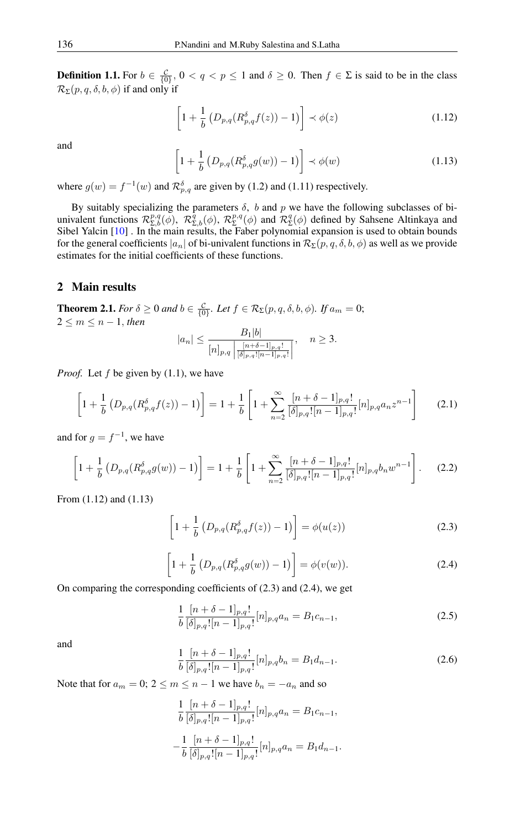**Definition 1.1.** For  $b \in \frac{C}{\{0\}}$ ,  $0 < q < p \le 1$  and  $\delta \ge 0$ . Then  $f \in \Sigma$  is said to be in the class  $\mathcal{R}_{\Sigma}(p,q,\delta,b,\phi)$  if and only if

$$
\left[1 + \frac{1}{b} \left(D_{p,q}(R_{p,q}^{\delta} f(z)) - 1\right)\right] \prec \phi(z)
$$
\n(1.12)

and

$$
\left[1 + \frac{1}{b} \left(D_{p,q}(R^{\delta}_{p,q}g(w)) - 1\right)\right] \prec \phi(w) \tag{1.13}
$$

where  $g(w) = f^{-1}(w)$  and  $\mathcal{R}_{p,q}^{\delta}$  are given by (1.2) and (1.11) respectively.

By suitably specializing the parameters  $\delta$ , b and p we have the following subclasses of biunivalent functions  $\mathcal{R}^{p,q}_{\Sigma,b}(\phi)$ ,  $\mathcal{R}^{\bar{q}}_{\Sigma,b}(\phi)$ ,  $\mathcal{R}^{p,q}_{\Sigma}$  $\sum_{\Sigma}^{p,q}(\phi)$  and  $\mathcal{R}_{\Sigma}^q$  $\mathcal{L}^q(\phi)$  defined by Sahsene Altinkaya and Sibel Yalcin [\[10\]](#page-13-9) . In the main results, the Faber polynomial expansion is used to obtain bounds for the general coefficients  $|a_n|$  of bi-univalent functions in  $\mathcal{R}_{\Sigma}(p, q, \delta, b, \phi)$  as well as we provide estimates for the initial coefficients of these functions.

#### 2 Main results

**Theorem 2.1.** *For*  $\delta \ge 0$  *and*  $b \in \frac{c}{\{0\}}$ *. Let*  $f \in \mathcal{R}_{\Sigma}(p,q,\delta,b,\phi)$ *. If*  $a_m = 0$ ;  $2 \leq m \leq n-1$ , *then* 

$$
|a_n| \le \frac{B_1|b|}{[n]_{p,q} \left| \frac{[n+\delta-1]_{p,q}!}{[\delta]_{p,q}![n-1]_{p,q}!} \right|}, \quad n \ge 3.
$$

*Proof.* Let f be given by  $(1.1)$ , we have

$$
\left[1 + \frac{1}{b} \left(D_{p,q}(R_{p,q}^{\delta} f(z)) - 1\right)\right] = 1 + \frac{1}{b} \left[1 + \sum_{n=2}^{\infty} \frac{[n + \delta - 1]_{p,q}!}{[\delta]_{p,q}![n-1]_{p,q}!} [n]_{p,q} a_n z^{n-1}\right] \tag{2.1}
$$

and for  $g = f^{-1}$ , we have

$$
\left[1 + \frac{1}{b} \left(D_{p,q}(R_{p,q}^{\delta}g(w)) - 1\right)\right] = 1 + \frac{1}{b} \left[1 + \sum_{n=2}^{\infty} \frac{[n+\delta-1]_{p,q}!}{[\delta]_{p,q}![n-1]_{p,q}!} [n]_{p,q} b_n w^{n-1}\right].
$$
 (2.2)

From (1.12) and (1.13)

$$
\[1 + \frac{1}{b} \left( D_{p,q}(R_{p,q}^{\delta} f(z)) - 1 \right) \] = \phi(u(z)) \tag{2.3}
$$

$$
\[1 + \frac{1}{b} \left( D_{p,q}(R^{\delta}_{p,q}(w)) - 1 \right) \] = \phi(v(w)). \tag{2.4}
$$

On comparing the corresponding coefficients of (2.3) and (2.4), we get

$$
\frac{1}{b} \frac{[n+\delta-1]_{p,q}!}{[\delta]_{p,q}![n-1]_{p,q}!} [n]_{p,q} a_n = B_1 c_{n-1},
$$
\n(2.5)

and

$$
\frac{1}{b} \frac{[n+\delta-1]_{p,q}!}{[\delta]_{p,q}![n-1]_{p,q}!} [n]_{p,q} b_n = B_1 d_{n-1}.
$$
\n(2.6)

Note that for  $a_m = 0$ ;  $2 \le m \le n - 1$  we have  $b_n = -a_n$  and so

$$
\frac{1}{b} \frac{[n+\delta-1]_{p,q}!}{[\delta]_{p,q}![n-1]_{p,q}!} [n]_{p,q} a_n = B_1 c_{n-1},
$$
  

$$
-\frac{1}{b} \frac{[n+\delta-1]_{p,q}!}{[\delta]_{p,q}![n-1]_{p,q}!} [n]_{p,q} a_n = B_1 d_{n-1}.
$$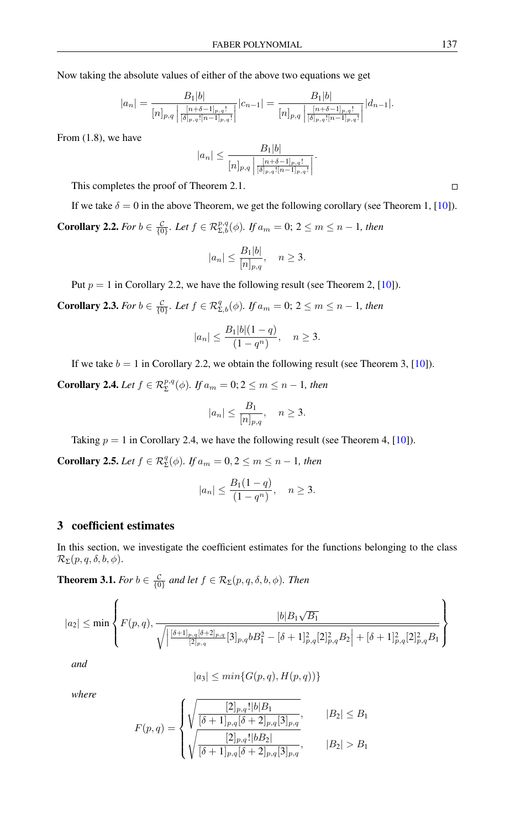Now taking the absolute values of either of the above two equations we get

$$
|a_n| = \frac{B_1|b|}{[n]_{p,q} \left| \frac{[n+\delta-1]_{p,q}!}{[\delta]_{p,q}![n-1]_{p,q}!} \right|} |c_{n-1}| = \frac{B_1|b|}{[n]_{p,q} \left| \frac{[n+\delta-1]_{p,q}!}{[\delta]_{p,q}![n-1]_{p,q}!} \right|} |d_{n-1}|.
$$

From (1.8), we have

$$
|a_n| \le \frac{B_1|b|}{[n]_{p,q} \left| \frac{[n+\delta-1]_{p,q}!}{[\delta]_{p,q}![n-1]_{p,q}!} \right|}.
$$

This completes the proof of Theorem 2.1.

If we take  $\delta = 0$  in the above Theorem, we get the following corollary (see Theorem 1, [\[10\]](#page-13-9)). **Corollary 2.2.** *For*  $b \in \frac{c}{\{0\}}$ *. Let*  $f \in \mathcal{R}_{\Sigma,b}^{p,q}(\phi)$ *. If*  $a_m = 0$ ;  $2 \le m \le n - 1$ *, then* 

$$
|a_n| \le \frac{B_1|b|}{[n]_{p,q}}, \quad n \ge 3.
$$

Put  $p = 1$  in Corollary 2.2, we have the following result (see Theorem 2, [\[10\]](#page-13-9)).

**Corollary 2.3.** *For*  $b \in \frac{c}{\{0\}}$ *. Let*  $f \in \mathcal{R}_{\Sigma,b}^q(\phi)$ *. If*  $a_m = 0$ ;  $2 \le m \le n - 1$ *, then* 

$$
|a_n| \le \frac{B_1|b|(1-q)}{(1-q^n)}, \quad n \ge 3.
$$

If we take  $b = 1$  in Corollary 2.2, we obtain the following result (see Theorem 3, [\[10\]](#page-13-9)).

**Corollary 2.4.** *Let*  $f \in \mathcal{R}_{\Sigma}^{p,q}(\phi)$ *. If*  $a_m = 0; 2 \leq m \leq n - 1$ *, then* 

$$
|a_n| \le \frac{B_1}{[n]_{p,q}}, \quad n \ge 3.
$$

Taking  $p = 1$  in Corollary 2.4, we have the following result (see Theorem 4, [\[10\]](#page-13-9)).

**Corollary 2.5.** *Let*  $f \in \mathcal{R}_{\Sigma}^q(\phi)$ *. If*  $a_m = 0, 2 \le m \le n - 1$ *, then* 

$$
|a_n| \le \frac{B_1(1-q)}{(1-q^n)}, \quad n \ge 3.
$$

### 3 coefficient estimates

In this section, we investigate the coefficient estimates for the functions belonging to the class  $\mathcal{R}_{\Sigma}(p,q,\delta,b,\phi).$ 

**Theorem 3.1.** *For*  $b \in \frac{C}{\{0\}}$  and let  $f \in \mathcal{R}_{\Sigma}(p, q, \delta, b, \phi)$ *. Then* 

$$
|a_2| \le \min\left\{F(p,q), \frac{|b|B_1\sqrt{B_1}}{\sqrt{\left|\frac{[\delta+1]_{p,q}[\delta+2]_{p,q}}{[2]_{p,q}}[3]_{p,q}bB_1^2 - [\delta+1]_{p,q}^2[2]_{p,q}^2B_2\right| + [\delta+1]_{p,q}^2[2]_{p,q}^2B_1}}\right\}
$$

*and*

$$
|a_3| \le \min\{G(p,q), H(p,q))\}
$$

*where*

$$
F(p,q) = \begin{cases} \sqrt{\frac{[2]_{p,q}!|b|B_1}{[\delta+1]_{p,q}[\delta+2]_{p,q}[3]_{p,q}}}, & |B_2| \le B_1\\ \sqrt{\frac{[2]_{p,q}!|bB_2|}{[\delta+1]_{p,q}[\delta+2]_{p,q}[3]_{p,q}}}, & |B_2| > B_1 \end{cases}
$$

 $\Box$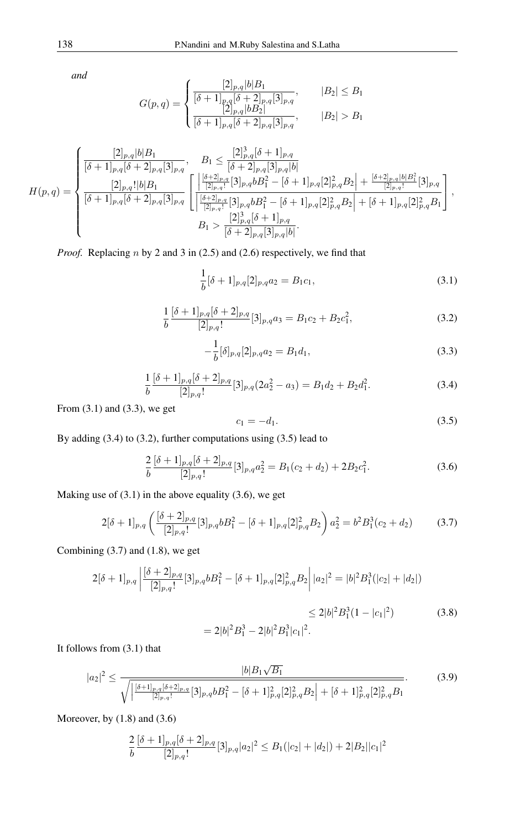*and*

$$
G(p,q) = \begin{cases} \frac{[2]_{p,q}|b|B_1}{[\delta+1]_{p,q}[\delta+2]_{p,q}[3]_{p,q}}, & |B_2| \le B_1\\ \frac{[2]_{p,q}|bB_2|}{[\delta+1]_{p,q}[\delta+2]_{p,q}[3]_{p,q}}, & |B_2| > B_1 \end{cases}
$$

$$
H(p,q) = \begin{cases} \frac{[2]_{p,q}[b|B_1}{[\delta+1]_{p,q}[\delta+2]_{p,q}[3]_{p,q}}, & B_1 \leq \frac{[2]^3_{p,q}[\delta+1]_{p,q}}{[\delta+2]_{p,q}[3]_{p,q}[b]} \\ \frac{[2]_{p,q}![b|B_1}{[\delta+1]_{p,q}[\delta+2]_{p,q}[3]_{p,q}} \left[ \frac{\left|\frac{[\delta+2]_{p,q}}{[2]_{p,q}!}[3]_{p,q}bB_1^2 - [\delta+1]_{p,q}[2]^2_{p,q}B_2\right| + \frac{[\delta+2]_{p,q}[b|B_1^2}{[2]_{p,q}!}[3]_{p,q}}{[\delta+1]_{p,q}[\delta+2]_{p,q}[3]_{p,q}} \right], \\ B_1 > \frac{[2]^3_{p,q}[\delta+1]_{p,q}}{[\delta+2]_{p,q}[3]_{p,q}[b]} .\end{cases}
$$

*Proof.* Replacing *n* by 2 and 3 in (2.5) and (2.6) respectively, we find that

$$
\frac{1}{b}[\delta+1]_{p,q}[2]_{p,q}a_2 = B_1c_1,
$$
\n(3.1)

$$
\frac{1}{b} \frac{[\delta+1]_{p,q}[\delta+2]_{p,q}}{[2]_{p,q}!} [3]_{p,q} a_3 = B_1 c_2 + B_2 c_1^2,
$$
\n(3.2)

$$
-\frac{1}{b}[\delta]_{p,q}[2]_{p,q}a_2 = B_1d_1,
$$
\n(3.3)

$$
\frac{1}{b} \frac{[\delta+1]_{p,q}[\delta+2]_{p,q}}{[2]_{p,q}!} [3]_{p,q} (2a_2^2 - a_3) = B_1 d_2 + B_2 d_1^2.
$$
 (3.4)

From (3.1) and (3.3), we get

$$
c_1 = -d_1. \t\t(3.5)
$$

By adding (3.4) to (3.2), further computations using (3.5) lead to

$$
\frac{2}{b} \frac{[\delta+1]_{p,q}[\delta+2]_{p,q}}{[2]_{p,q}!} [3]_{p,q} a_2^2 = B_1(c_2+d_2) + 2B_2 c_1^2.
$$
 (3.6)

Making use of  $(3.1)$  in the above equality  $(3.6)$ , we get

$$
2[\delta+1]_{p,q} \left( \frac{[\delta+2]_{p,q}}{[2]_{p,q}!} [3]_{p,q} b B_1^2 - [\delta+1]_{p,q} [2]_{p,q}^2 B_2 \right) a_2^2 = b^2 B_1^3 (c_2 + d_2)
$$
 (3.7)

Combining (3.7) and (1.8), we get

$$
2[\delta+1]_{p,q} \left| \frac{[\delta+2]_{p,q}}{[2]_{p,q}!} [3]_{p,q} b B_1^2 - [\delta+1]_{p,q} [2]_{p,q}^2 B_2 \right| |a_2|^2 = |b|^2 B_1^3(|c_2| + |d_2|)
$$
  

$$
\leq 2|b|^2 B_1^3 (1 - |c_1|^2) \tag{3.8}
$$

$$
= 2|b|^2B_1^3 - 2|b|^2B_1^3|c_1|^2.
$$

It follows from (3.1) that

$$
|a_{2}|^{2} \leq \frac{|b|B_{1}\sqrt{B_{1}}}{\sqrt{\left|\frac{[\delta+1]_{p,q}[\delta+2]_{p,q}}{2\right|_{p,q}!}[3]_{p,q}bB_{1}^{2}-[\delta+1]_{p,q}^{2}[2]_{p,q}^{2}B_{2}\right|+[\delta+1]_{p,q}^{2}[2]_{p,q}^{2}B_{1}}}.
$$
(3.9)

Moreover, by (1.8) and (3.6)

$$
\frac{2}{b} \frac{[\delta+1]_{p,q}[\delta+2]_{p,q}}{[2]_{p,q}!} [3]_{p,q} |a_2|^2 \leq B_1(|c_2|+|d_2|) + 2|B_2||c_1|^2
$$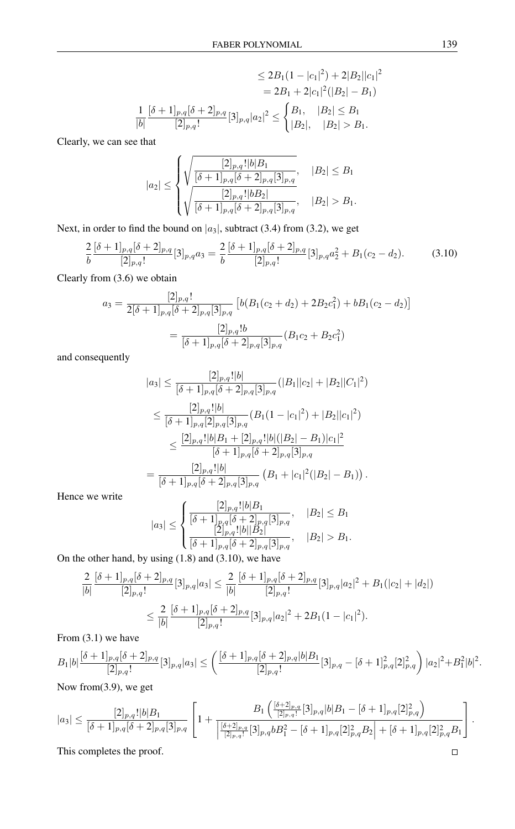$$
\leq 2B_1(1-|c_1|^2) + 2|B_2||c_1|^2
$$
  
=  $2B_1 + 2|c_1|^2(|B_2| - B_1)$   

$$
\frac{1}{|b|} \frac{[\delta+1]_{p,q}[\delta+2]_{p,q}}{[2]_{p,q}} [3]_{p,q}|a_2|^2 \leq \begin{cases} B_1, & |B_2| \leq B_1 \\ |B_2|, & |B_2| > B_1. \end{cases}
$$

Clearly, we can see that

$$
|a_2| \leq \begin{cases} \sqrt{\frac{[2]_{p,q}!|b|B_1}{[\delta+1]_{p,q}[\delta+2]_{p,q}[3]_{p,q}}}, & |B_2| \leq B_1\\ \sqrt{\frac{[2]_{p,q}!|bB_2|}{[\delta+1]_{p,q}[\delta+2]_{p,q}[3]_{p,q}}}, & |B_2| > B_1. \end{cases}
$$

Next, in order to find the bound on  $|a_3|$ , subtract (3.4) from (3.2), we get

$$
\frac{2}{b} \frac{[\delta+1]_{p,q}[\delta+2]_{p,q}}{[2]_{p,q}!} [3]_{p,q} a_3 = \frac{2}{b} \frac{[\delta+1]_{p,q}[\delta+2]_{p,q}}{[2]_{p,q}!} [3]_{p,q} a_2^2 + B_1(c_2 - d_2). \tag{3.10}
$$

Clearly from (3.6) we obtain

$$
a_3 = \frac{[2]_{p,q}!}{2[\delta+1]_{p,q}[\delta+2]_{p,q}[3]_{p,q}} \left[ b(B_1(c_2+d_2) + 2B_2c_1^2) + bB_1(c_2-d_2) \right]
$$

$$
= \frac{[2]_{p,q}!b}{[\delta+1]_{p,q}[\delta+2]_{p,q}[3]_{p,q}} (B_1c_2 + B_2c_1^2)
$$

and consequently

$$
|a_3| \leq \frac{[2]_{p,q}!|b|}{[\delta+1]_{p,q}[\delta+2]_{p,q}[3]_{p,q}}(|B_1||c_2|+|B_2||C_1|^2)
$$
  
\n
$$
\leq \frac{[2]_{p,q}!|b|}{[\delta+1]_{p,q}[2]_{p,q}[3]_{p,q}}(B_1(1-|c_1|^2)+|B_2||c_1|^2)
$$
  
\n
$$
\leq \frac{[2]_{p,q}!|b|B_1+[2]_{p,q}!|b|(|B_2|-B_1)|c_1|^2}{[\delta+1]_{p,q}[\delta+2]_{p,q}[3]_{p,q}}
$$
  
\n
$$
= \frac{[2]_{p,q}!|b|}{[\delta+1]_{p,q}[\delta+2]_{p,q}[3]_{p,q}}(B_1+|c_1|^2(|B_2|-B_1)).
$$

Hence we write

$$
|a_3| \le \begin{cases} \frac{[2]_{p,q}!|b|B_1}{[\delta+1]_{p,q}[\delta+2]_{p,q}[3]_{p,q}}, & |B_2| \le B_1\\ \frac{[2]_{p,q}!|b||B_2|}{[\delta+1]_{p,q}[\delta+2]_{p,q}[3]_{p,q}}, & |B_2| > B_1. \end{cases}
$$

On the other hand, by using (1.8) and (3.10), we have

$$
\frac{2}{|b|} \frac{[\delta+1]_{p,q}[\delta+2]_{p,q}}{[2]_{p,q}!} [3]_{p,q} |a_3| \le \frac{2}{|b|} \frac{[\delta+1]_{p,q}[\delta+2]_{p,q}}{[2]_{p,q}!} [3]_{p,q} |a_2|^2 + B_1(|c_2|+|d_2|)
$$
  

$$
\le \frac{2}{|b|} \frac{[\delta+1]_{p,q}[\delta+2]_{p,q}}{[2]_{p,q}!} [3]_{p,q} |a_2|^2 + 2B_1(1-|c_1|^2).
$$

From (3.1) we have

$$
B_1|b| \frac{[\delta+1]_{p,q}[\delta+2]_{p,q}}{[2]_{p,q}!} [3]_{p,q} |a_3| \le \left( \frac{[\delta+1]_{p,q}[\delta+2]_{p,q}|b|B_1}{[2]_{p,q}!} [3]_{p,q} - [\delta+1]_{p,q}^2 [2]_{p,q}^2 \right) |a_2|^2 + B_1^2 |b|^2.
$$

Now from(3.9), we get

$$
|a_3| \leq \frac{[2]_{p,q}!|b|B_1}{[\delta+1]_{p,q}[\delta+2]_{p,q}[3]_{p,q}} \left[1 + \frac{B_1\left(\frac{[\delta+2]_{p,q}}{[2]_{p,q}!}[3]_{p,q}|b|B_1 - [\delta+1]_{p,q}[2]_{p,q}^2\right)}{\left|\frac{[\delta+2]_{p,q}}{[2]_{p,q}!}[3]_{p,q}bB_1^2 - [\delta+1]_{p,q}[2]_{p,q}^2B_2\right| + [\delta+1]_{p,q}[2]_{p,q}^2B_1}\right].
$$
  
This completes the proof.

This completes the proof.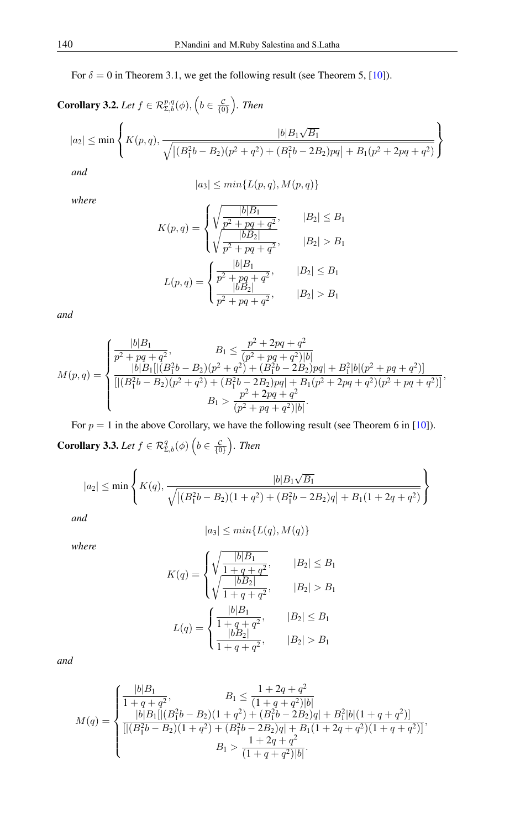For  $\delta = 0$  in Theorem 3.1, we get the following result (see Theorem 5, [\[10\]](#page-13-9)).

**Corollary 3.2.** Let  $f \in \mathcal{R}_{\Sigma,b}^{p,q}(\phi)$ ,  $\left(b \in \frac{c}{\{0\}}\right)$ . Then

$$
|a_2| \le \min \left\{ K(p,q), \frac{|b| B_1 \sqrt{B_1}}{\sqrt{\left| (B_1^2 b - B_2)(p^2 + q^2) + (B_1^2 b - 2B_2)pq \right| + B_1 (p^2 + 2pq + q^2)}} \right\}
$$

*and*

$$
|a_3| \le \min\{L(p,q), M(p,q)\}
$$

*where*

$$
K(p,q) = \begin{cases} \sqrt{\frac{b|B_1}{p^2 + pq + q^2}}, & |B_2| \le B_1\\ \sqrt{\frac{bB_2|}{p^2 + pq + q^2}}, & |B_2| > B_1\\ L(p,q) = \begin{cases} \frac{|b|B_1}{p^2 + pq + q^2}, & |B_2| \le B_1\\ \frac{|bB_2|}{p^2 + pq + q^2}, & |B_2| > B_1 \end{cases} \end{cases}
$$

*and*

$$
M(p,q) = \begin{cases} \frac{|b|B_1}{p^2 + pq + q^2}, & B_1 \leq \frac{p^2 + 2pq + q^2}{(p^2 + pq + q^2)|b|} \\ \frac{|b|B_1[|(B_1^2b - B_2)(p^2 + q^2) + (B_1^2b - 2B_2)pq| + B_1^2|b|(p^2 + pq + q^2)|}{[|(B_1^2b - B_2)(p^2 + q^2) + (B_1^2b - 2B_2)pq| + B_1(p^2 + 2pq + q^2)(p^2 + pq + q^2)]}, \\ B_1 > \frac{p^2 + 2pq + q^2}{(p^2 + pq + q^2)|b|}. \end{cases}
$$

For  $p = 1$  in the above Corollary, we have the following result (see Theorem 6 in [\[10\]](#page-13-9)). **Corollary 3.3.** Let  $f \in \mathcal{R}^q_{\Sigma,b}(\phi)$   $\left(b \in \frac{c}{\{0\}}\right)$ . Then

$$
|a_2| \leq \min\left\{K(q), \frac{|b|B_1\sqrt{B_1}}{\sqrt{\left|(B_1^2b - B_2)(1+q^2)+(B_1^2b-2B_2)q\right|+B_1(1+2q+q^2)}}\right\}
$$

*and*

$$
|a_3| \le \min\{L(q), M(q)\}
$$

*where*

$$
K(q) = \begin{cases} \sqrt{\frac{|b|B_1}{1+q+q^2}}, & |B_2| \le B_1\\ \sqrt{\frac{|bB_2|}{1+q+q^2}}, & |B_2| > B_1 \end{cases}
$$

$$
L(q) = \begin{cases} \frac{|b|B_1}{1+q+q^2}, & |B_2| \le B_1\\ \frac{|bB_2|}{1+q+q^2}, & |B_2| > B_1 \end{cases}
$$

*and*

$$
M(q)=\begin{cases} \displaystyle\frac{|b|B_1}{1+q+q^2}, & B_1\leq \frac{1+2q+q^2}{(1+q+q^2)|b|} \\ \displaystyle\frac{|b|B_1[|(B_1^2b-B_2)(1+q^2)+(B_1^2b-2B_2)q|+B_1^2|b|(1+q+q^2)|}{[|(B_1^2b-B_2)(1+q^2)+(B_1^2b-2B_2)q|+B_1(1+2q+q^2)(1+q+q^2)]}, \\ \displaystyle\quad B_1>\frac{1+2q+q^2}{(1+q+q^2)|b|}. \end{cases}
$$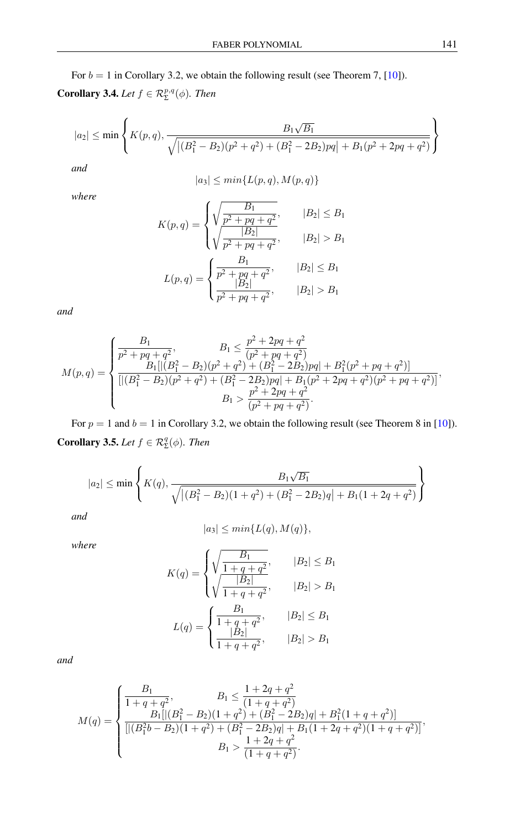For  $b = 1$  in Corollary 3.2, we obtain the following result (see Theorem 7, [\[10\]](#page-13-9)). **Corollary 3.4.** *Let*  $f \in \mathcal{R}_{\Sigma}^{p,q}(\phi)$ *. Then* 

$$
|a_2| \leq \min\left\{K(p,q), \frac{B_1\sqrt{B_1}}{\sqrt{\left|(B_1^2 - B_2)(p^2 + q^2) + (B_1^2 - 2B_2)pq\right| + B_1(p^2 + 2pq + q^2)}}\right\}
$$

*and*

$$
|a_3| \le \min\{L(p,q), M(p,q)\}
$$

*where*

$$
K(p,q) = \begin{cases} \sqrt{\frac{B_1}{p^2 + pq + q^2}}, & |B_2| \le B_1\\ \sqrt{\frac{|B_2|}{p^2 + pq + q^2}}, & |B_2| > B_1 \end{cases}
$$

$$
L(p,q) = \begin{cases} \frac{B_1}{p^2 + pq + q^2}, & |B_2| \le B_1\\ \frac{B_2}{p^2 + pq + q^2}, & |B_2| > B_1 \end{cases}
$$

*and*

$$
M(p,q) = \begin{cases} \frac{B_1}{p^2 + pq + q^2}, & B_1 \leq \frac{p^2 + 2pq + q^2}{(p^2 + pq + q^2)} \\ \frac{B_1[|(B_1^2 - B_2)(p^2 + q^2) + (B_1^2 - 2B_2)pq| + B_1^2(p^2 + pq + q^2)]}{[|(B_1^2 - B_2)(p^2 + q^2) + (B_1^2 - 2B_2)pq| + B_1(p^2 + 2pq + q^2)(p^2 + pq + q^2)]}, \\ B_1 > \frac{p^2 + 2pq + q^2}{(p^2 + pq + q^2)}. \end{cases}
$$

For  $p = 1$  and  $b = 1$  in Corollary 3.2, we obtain the following result (see Theorem 8 in [\[10\]](#page-13-9)). **Corollary 3.5.** *Let*  $f \in \mathcal{R}_{\Sigma}^q(\phi)$ *. Then* 

$$
|a_2| \le \min\left\{ K(q), \frac{B_1\sqrt{B_1}}{\sqrt{\left| (B_1^2 - B_2)(1+q^2) + (B_1^2 - 2B_2)q \right| + B_1(1+2q+q^2)}} \right\}
$$

*and*

$$
|a_3| \le \min\{L(q), M(q)\},\
$$

*where*

$$
K(q) = \begin{cases} \sqrt{\frac{B_1}{1 + q + q^2}}, & |B_2| \le B_1\\ \sqrt{\frac{|B_2|}{1 + q + q^2}}, & |B_2| > B_1 \end{cases}
$$

$$
L(q) = \begin{cases} \frac{B_1}{1 + q + q^2}, & |B_2| \le B_1\\ \frac{|B_2|}{1 + q + q^2}, & |B_2| > B_1 \end{cases}
$$

*and*

$$
M(q) = \begin{cases} \frac{B_1}{1+q+q^2}, & B_1 \le \frac{1+2q+q^2}{(1+q+q^2)}\\ \frac{B_1[|(B_1^2-B_2)(1+q^2)+(B_1^2-2B_2)q|+B_1^2(1+q+q^2)]}{[|(B_1^2b-B_2)(1+q^2)+(B_1^2-2B_2)q|+B_1(1+2q+q^2)(1+q+q^2)]},\\ \qquad\qquad B_1 > \frac{1+2q+q^2}{(1+q+q^2)}. \end{cases}
$$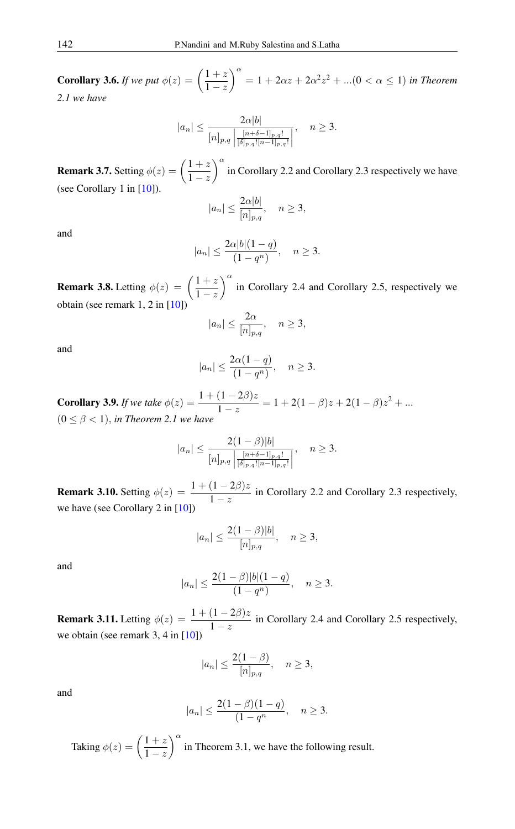**Corollary 3.6.** *If we put*  $\phi(z) = \left(\frac{1+z}{1-z}\right)$  $1-z$  $a^{2} = 1 + 2\alpha z + 2\alpha^{2} z^{2} + ... (0 \lt \alpha \le 1)$  *in Theorem 2.1 we have*

$$
|a_n| \le \frac{2\alpha |b|}{[n]_{p,q} \left| \frac{[n+\delta-1]_{p,q}!}{[\delta]_{p,q}![n-1]_{p,q}!} \right|}, \quad n \ge 3.
$$

**Remark 3.7.** Setting  $\phi(z) = \left(\frac{1+z}{1-z}\right)$  $1-z$  $\int_0^\alpha$  in Corollary 2.2 and Corollary 2.3 respectively we have (see Corollary 1 in [\[10\]](#page-13-9)).

$$
|a_n| \le \frac{2\alpha|b|}{[n]_{p,q}}, \quad n \ge 3,
$$

and

$$
|a_n| \le \frac{2\alpha |b|(1-q)}{(1-q^n)}, \quad n \ge 3.
$$

**Remark 3.8.** Letting  $\phi(z) = \left(\frac{1+z}{1-z}\right)$  $1-z$  $\int_0^\infty$  in Corollary 2.4 and Corollary 2.5, respectively we obtain (see remark 1, 2 in [\[10\]](#page-13-9))

$$
|a_n| \le \frac{2\alpha}{[n]_{p,q}}, \quad n \ge 3,
$$

and

$$
|a_n| \le \frac{2\alpha(1-q)}{(1-q^n)}, \quad n \ge 3.
$$

**Corollary 3.9.** *If we take*  $\phi(z) = \frac{1 + (1 - 2\beta)z}{1 - z} = 1 + 2(1 - \beta)z + 2(1 - \beta)z^2 + ...$  $(0 \leq \beta < 1)$ , *in Theorem 2.1 we have* 

$$
|a_n| \le \frac{2(1-\beta)|b|}{[n]_{p,q} \left| \frac{[n+\delta-1]_{p,q}!}{[\delta]_{p,q}![n-1]_{p,q}!} \right|}, \quad n \ge 3.
$$

**Remark 3.10.** Setting  $\phi(z) = \frac{1 + (1 - 2\beta)z}{1 - z}$  in Corollary 2.2 and Corollary 2.3 respectively, we have (see Corollary 2 in [\[10\]](#page-13-9))

$$
|a_n| \le \frac{2(1-\beta)|b|}{[n]_{p,q}}, \quad n \ge 3,
$$

and

$$
|a_n| \le \frac{2(1-\beta)|b|(1-q)}{(1-q^n)}, \quad n \ge 3.
$$

**Remark 3.11.** Letting  $\phi(z) = \frac{1 + (1 - 2\beta)z}{1 - z}$  in Corollary 2.4 and Corollary 2.5 respectively, we obtain (see remark  $3, 4$  in  $[10]$ )

$$
|a_n| \le \frac{2(1-\beta)}{[n]_{p,q}}, \quad n \ge 3,
$$

and

$$
|a_n| \le \frac{2(1-\beta)(1-q)}{(1-q^n)}, \quad n \ge 3.
$$

Taking  $\phi(z) = \left(\frac{1+z}{1}\right)$  $1-z$  $\int_{0}^{\alpha}$  in Theorem 3.1, we have the following result.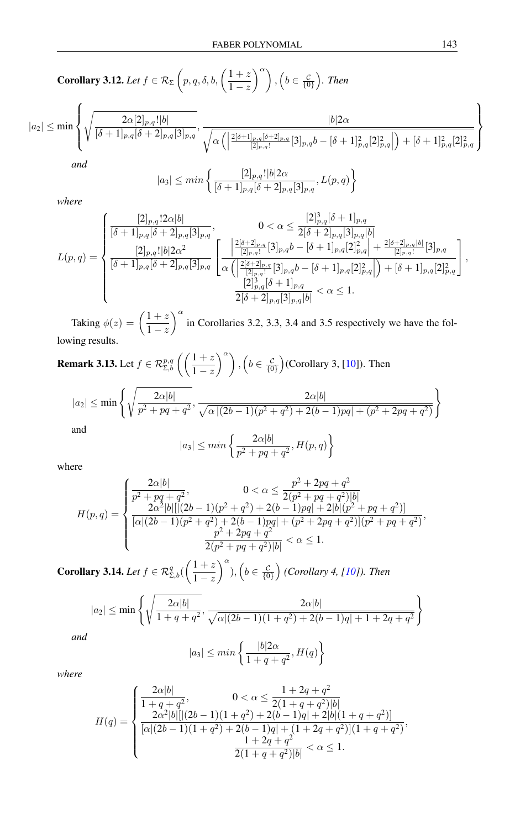**Corollary 3.12.** Let 
$$
f \in \mathcal{R}_{\Sigma}\left(p, q, \delta, b, \left(\frac{1+z}{1-z}\right)^{\alpha}\right), \left(b \in \frac{c}{\{0\}}\right)
$$
. Then

$$
|a_2| \le \min\left\{\sqrt{\frac{2\alpha[2]_{p,q}!|b|}{[\delta+1]_{p,q}[\delta+2]_{p,q}[3]_{p,q}}}, \frac{|b|2\alpha}{\sqrt{\alpha\left(\left|\frac{2[\delta+1]_{p,q}[\delta+2]_{p,q}}{[2]_{p,q}!}[3]_{p,q}b - [\delta+1]_{p,q}^2[2]_{p,q}^2\right|\right)+[\delta+1]_{p,q}^2[2]_{p,q}^2}\right\}
$$
 and

$$
|a_3| \le \min\left\{ \frac{[2]_{p,q}! |b| 2\alpha}{[\delta+1]_{p,q}[\delta+2]_{p,q}[3]_{p,q}}, L(p,q) \right\}
$$

*where*

$$
L(p,q) = \begin{cases} \frac{[2]_{p,q}!2\alpha|b|}{[\delta+1]_{p,q}[\delta+2]_{p,q}[3]_{p,q}}, & 0 < \alpha \le \frac{[2]^3_{p,q}[\delta+1]_{p,q}}{2[\delta+2]_{p,q}[3]_{p,q}|b|} \\ \frac{[2]_{p,q}!|b|2\alpha^2}{[\delta+1]_{p,q}[\delta+2]_{p,q}[3]_{p,q}} & \frac{2^{[\delta+2]_{p,q}}[3]_{p,q}b - [\delta+1]_{p,q}[2]^2_{p,q}| + \frac{2^{[\delta+2]_{p,q}[b]}}{[2]_{p,q}!}[3]_{p,q}}{ \alpha \left( \frac{2^{[\delta+2]_{p,q}}[3]_{p,q}b - [\delta+1]_{p,q}[2]^2_{p,q}|}{[2]_{p,q}!}\right) + [\delta+1]_{p,q}[2]^2_{p,q}} \end{cases},
$$
  

$$
\frac{[2]^3_{p,q}[\delta+1]_{p,q}}{2[\delta+2]_{p,q}[3]_{p,q}|b|} < \alpha \le 1.
$$

Taking  $\phi(z) = \left(\frac{1+z}{1-z}\right)$  $1-z$  $\int_0^\alpha$  in Corollaries 3.2, 3.3, 3.4 and 3.5 respectively we have the following results.

**Remark 3.13.** Let  $f \in \mathcal{R}^{p,q}_{\Sigma,b} \left( \left( \frac{1+z}{1-z} \right)$  $\binom{\alpha}{k}$ ,  $\left(b \in \frac{\mathcal{C}}{\{0\}}\right)$  (Corollary 3, [\[10\]](#page-13-9)). Then

$$
|a_2| \le \min\left\{\sqrt{\frac{2\alpha|b|}{p^2 + pq + q^2}}, \frac{2\alpha|b|}{\sqrt{\alpha|(2b-1)(p^2 + q^2) + 2(b-1)pq| + (p^2 + 2pq + q^2)}}\right\}
$$
  
and

$$
|a_3| \le \min\left\{\frac{2\alpha|b|}{p^2 + pq + q^2}, H(p, q)\right\}
$$

where

$$
H(p,q) = \begin{cases} \frac{2\alpha|b|}{p^2 + pq + q^2}, & 0 < \alpha \le \frac{p^2 + 2pq + q^2}{2(p^2 + pq + q^2)|b|} \\ \frac{2\alpha^2|b| |[(2b-1)(p^2 + q^2) + 2(b-1)pq| + 2|b|(p^2 + pq + q^2)|}{[\alpha|(2b-1)(p^2 + q^2) + 2(b-1)pq| + (p^2 + 2pq + q^2)|(p^2 + pq + q^2)} \\ \frac{p^2 + 2pq + q^2}{2(p^2 + pq + q^2)|b|} < \alpha \le 1. \end{cases}
$$

**Corollary 3.14.** Let  $f \in \mathcal{R}_{\Sigma,b}^q(\left(\frac{1+z}{1-z}\right))$  $1-z$  $\int_0^{\alpha}$ ,  $\left(b \in \frac{c}{\{0\}}\right)$  (Corollary 4, [\[10\]](#page-13-9)). Then

$$
|a_2| \le \min\left\{\sqrt{\frac{2\alpha|b|}{1+q+q^2}}, \frac{2\alpha|b|}{\sqrt{\alpha|(2b-1)(1+q^2)+2(b-1)q|+1+2q+q^2}}\right\}
$$

$$
|a_3| \le \min\left\{\frac{|b|2\alpha}{1+q+q^2}, H(q)\right\}
$$

*where*

*and*

$$
H(q) = \begin{cases} \frac{2\alpha|b|}{1+q+q^2}, & 0 < \alpha \le \frac{1+2q+q^2}{2(1+q+q^2)|b|} \\ \frac{2\alpha^2|b|[|(2b-1)(1+q^2)+2(b-1)q|+2|b|(1+q+q^2)]}{[\alpha|(2b-1)(1+q^2)+2(b-1)q|+(1+2q+q^2)](1+q+q^2)}, \\ \frac{1+2q+q^2}{2(1+q+q^2)|b|} < \alpha \le 1. \end{cases}
$$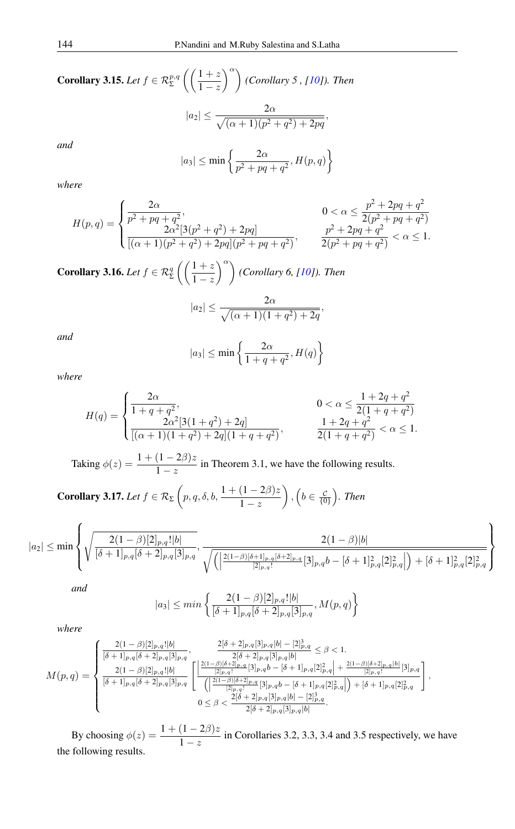**Corollary 3.15.** *Let*  $f \in \mathcal{R}_{\Sigma}^{p,q}$  $(1 + z)$  $1-z$ <sup>α</sup> *(Corollary 5 , [\[10\]](#page-13-9)). Then*  $|a_2| \leq \frac{2\alpha}{\sqrt{(\alpha+1)(p^2+q^2)+2pq}},$ 

*and*

$$
|a_3| \le \min\left\{\frac{2\alpha}{p^2 + pq + q^2}, H(p, q)\right\}
$$

*where*

$$
H(p,q) = \begin{cases} \frac{2\alpha}{p^2 + pq + q^2}, & 0 < \alpha \le \frac{p^2 + 2pq + q^2}{2(p^2 + pq + q^2)}\\ \frac{2\alpha^2[3(p^2 + q^2) + 2pq]}{[(\alpha + 1)(p^2 + q^2) + 2pq](p^2 + pq + q^2)}, & \frac{p^2 + 2pq + q^2}{2(p^2 + pq + q^2)} < \alpha \le 1. \end{cases}
$$

**Corollary 3.16.** *Let*  $f \in \mathcal{R}_{\Sigma}^q$  $(1 + z)$  $1-z$ <sup>α</sup> *(Corollary 6, [\[10\]](#page-13-9)). Then*

$$
|a_2| \le \frac{2\alpha}{\sqrt{(\alpha+1)(1+q^2)+2q}},
$$

*and*

$$
|a_3| \le \min\left\{\frac{2\alpha}{1+q+q^2}, H(q)\right\}
$$

*where*

$$
H(q) = \begin{cases} \frac{2\alpha}{1+q+q^2}, & 0 < \alpha \le \frac{1+2q+q^2}{2(1+q+q^2)}\\ \frac{2\alpha^2[3(1+q^2)+2q]}{[(\alpha+1)(1+q^2)+2q](1+q+q^2)}, & \frac{1+2q+q^2}{2(1+q+q^2)} < \alpha \le 1. \end{cases}
$$

Taking  $\phi(z) = \frac{1 + (1 - 2\beta)z}{1 - z}$  in Theorem 3.1, we have the following results.

**Corollary 3.17.** *Let*  $f \in \mathcal{R}_{\Sigma}$   $\bigg(p, q, \delta, b, \frac{1 + (1 - 2\beta)z}{1 - z}\bigg)$  $\Big)$ ,  $\Big(b \in \frac{c}{\{0\}}\Big)$ . Then

$$
|a_2| \leq \min\left\{\sqrt{\frac{2(1-\beta)[2]_{p,q}!|b|}{[\delta+1]_{p,q}[\delta+2]_{p,q}[3]_{p,q}}}, \frac{2(1-\beta)|b|}{\sqrt{\left(\left|\frac{2(1-\beta)[\delta+1]_{p,q}[\delta+2]_{p,q}}{[2]_{p,q}!}[3]_{p,q}b - [\delta+1]_{p,q}^2[2]_{p,q}^2\right|\right)+[\delta+1]_{p,q}^2[2]_{p,q}^2}\right\}
$$

*and*

$$
|a_3| \le \min\left\{ \frac{2(1-\beta)[2]_{p,q}! |b|}{[\delta+1]_{p,q}[\delta+2]_{p,q}[3]_{p,q}}, M(p,q) \right\}
$$

*where*

$$
M(p,q) = \begin{cases} \frac{2(1-\beta)[2]_{p,q}!|b|}{[\delta+1]_{p,q}[\delta+2]_{p,q}[3]_{p,q}}, & \frac{2[\delta+2]_{p,q}[3]_{p,q}|b| - [2]^3_{p,q}}{2[\delta+2]_{p,q}[3]_{p,q}|b|} \leq \beta < 1. \\ \frac{2(1-\beta)[2]_{p,q}!|b|}{[\delta+1]_{p,q}[\delta+2]_{p,q}[3]_{p,q}} & \left[ \frac{\left|\frac{2(1-\beta)[\delta+2]_{p,q}[3]_{p,q}|b|}{[2]_{p,q}!} [3]_{p,q}b - [\delta+1]_{p,q}[2]^2_{p,q}\right| + \frac{2(1-\beta)[\delta+2]_{p,q}[b]}{[2]_{p,q}!} [3]_{p,q} }{(\left|\frac{2(1-\beta)[\delta+2]_{p,q}[3]_{p,q} [3]_{p,q}b - [\delta+1]_{p,q}[2]^2_{p,q}}{[2]_{p,q}!} [3]_{p,q}[b] - [2]^3_{p,q}}\right|, & 0 \leq \beta < \frac{2[\delta+2]_{p,q}[3]_{p,q}[b] - [2]^3_{p,q}}{2[\delta+2]_{p,q}[3]_{p,q}[b]}. \end{cases}
$$

By choosing  $\phi(z) = \frac{1 + (1 - 2\beta)z}{1 - z}$  in Corollaries 3.2, 3.3, 3.4 and 3.5 respectively, we have the following results.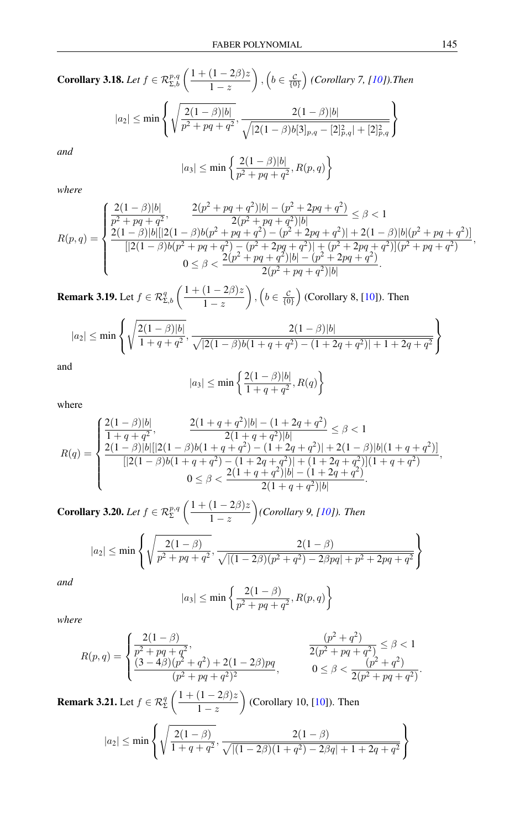Corollary 3.18. Let 
$$
f \in \mathcal{R}_{\Sigma,b}^{p,q} \left( \frac{1 + (1 - 2\beta)z}{1 - z} \right)
$$
,  $\left( b \in \frac{c}{\{0\}} \right)$  (*Corollary 7*, [10]). Then  

$$
|a_2| \le \min \left\{ \sqrt{\frac{2(1 - \beta)|b|}{p^2 + pq + q^2}}, \frac{2(1 - \beta)|b|}{\sqrt{|2(1 - \beta)b[3]_{p,q} - [2]_{p,q}^2| + [2]_{p,q}^2}} \right\}
$$
and  

$$
|a_3| \le \min \left\{ \frac{2(1 - \beta)|b|}{p^2 + pq + q^2}, R(p, q) \right\}
$$

*where*

$$
R(p,q) = \begin{cases} \frac{2(1-\beta)|b|}{p^2+pq+q^2}, & \frac{2(p^2+pq+q^2)|b|-(p^2+2pq+q^2)}{2(p^2+pq+q^2)|b|} \leq \beta < 1\\ \frac{2(1-\beta)|b|[|2(1-\beta)b(p^2+pq+q^2)-(p^2+2pq+q^2)]+2(1-\beta)|b|(p^2+pq+q^2)|}{[|2(1-\beta)b(p^2+pq+q^2)-(p^2+2pq+q^2)]+(p^2+2pq+q^2)](p^2+pq+q^2)}\\ 0 \leq \beta < \frac{2(p^2+pq+q^2)|b|-(p^2+2pq+q^2)}{2(p^2+pq+q^2)|b|}. \end{cases}
$$

**Remark 3.19.** Let  $f \in \mathcal{R}_{\Sigma,b}^q \left( \frac{1 + (1 - 2\beta)z}{1 - z} \right)$  $1-z$  $\Big)$ ,  $\Big(b \in \frac{c}{\{0\}}\Big)$  (Corollary 8, [\[10\]](#page-13-9)). Then

$$
|a_2| \le \min\left\{\sqrt{\frac{2(1-\beta)|b|}{1+q+q^2}}, \frac{2(1-\beta)|b|}{\sqrt{|2(1-\beta)b(1+q+q^2)-(1+2q+q^2)|+1+2q+q^2}}\right\}
$$

and

$$
|a_3| \le \min\left\{\frac{2(1-\beta)|b|}{1+q+q^2}, R(q)\right\}
$$

where

$$
R(q) = \begin{cases} \frac{2(1-\beta)|b|}{1+q+q^2}, & \frac{2(1+q+q^2)|b|-(1+2q+q^2)}{2(1+q+q^2)|b|} \leq \beta < 1\\ \frac{2(1-\beta)|b| \left[|2(1-\beta)b(1+q+q^2)-(1+2q+q^2)\right] + 2(1-\beta)|b| (1+q+q^2) \right]}{\left[|2(1-\beta)b(1+q+q^2)-(1+2q+q^2)\right] + (1+2q+q^2) \right](1+q+q^2)},\\ 0 \leq \beta < \frac{2(1+q+q^2)|b|-(1+2q+q^2)}{2(1+q+q^2)|b|}. \end{cases}
$$

**Corollary 3.20.** *Let*  $f \in \mathcal{R}_{\Sigma}^{p,q}$  $(1 + (1 - 2\beta)z)$  $1-z$ *(Corollary 9, [\[10\]](#page-13-9)). Then*

$$
|a_2| \le \min\left\{\sqrt{\frac{2(1-\beta)}{p^2+pq+q^2}}, \frac{2(1-\beta)}{\sqrt{|(1-2\beta)(p^2+q^2)-2\beta pq|+p^2+2pq+q^2}}\right\}
$$

*and*

$$
|a_3| \le \min \left\{ \frac{2(1-\beta)}{p^2 + pq + q^2}, R(p,q) \right\}
$$

*where*

$$
R(p,q) = \begin{cases} \frac{2(1-\beta)}{p^2 + pq + q^2}, & \frac{(p^2+q^2)}{2(p^2+pq+q^2)} \leq \beta < 1\\ \frac{(3-4\beta)(p^2+q^2)+2(1-2\beta)pq}{(p^2+pq+q^2)^2}, & 0 \leq \beta < \frac{(p^2+q^2)}{2(p^2+pq+q^2)}. \end{cases}
$$

**Remark 3.21.** Let  $f \in \mathcal{R}^q_{\Sigma}$  $(1 + (1 - 2\beta)z)$  $1-z$  $\big($  Corollary 10, [\[10\]](#page-13-9)). Then

$$
|a_2| \le \min\left\{\sqrt{\frac{2(1-\beta)}{1+q+q^2}}, \frac{2(1-\beta)}{\sqrt{|(1-2\beta)(1+q^2)-2\beta q|+1+2q+q^2}}\right\}
$$